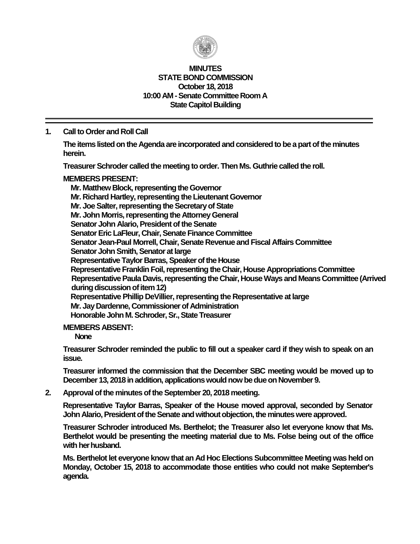

#### **MINUTES STATE BOND COMMISSION October 18, 2018 10:00 AM - Senate Committee Room A State Capitol Building**

## **1. Call to Order and Roll Call**

**The items listed on the Agenda are incorporated and considered to be a part of the minutes herein.**

**Treasurer Schroder called the meeting to order. Then Ms. Guthrie called the roll.**

#### **MEMBERS PRESENT:**

**Mr. Matthew Block, representing the Governor Mr. Richard Hartley, representing the Lieutenant Governor Mr. Joe Salter, representing the Secretary of State Mr. John Morris, representing the Attorney General Senator John Alario, President of the Senate Senator Eric LaFleur, Chair, Senate Finance Committee Senator Jean-Paul Morrell, Chair, Senate Revenue and Fiscal Affairs Committee Senator John Smith, Senator at large Representative Taylor Barras, Speaker of the House Representative Franklin Foil, representing the Chair, House Appropriations Committee Representative Paula Davis, representing the Chair, House Ways and Means Committee (Arrived during discussion of item 12) Representative Phillip DeVillier, representing the Representative at large Mr. Jay Dardenne, Commissioner of Administration Honorable John M. Schroder, Sr., State Treasurer**

#### **MEMBERS ABSENT:**

**None**

**Treasurer Schroder reminded the public to fill out a speaker card if they wish to speak on an issue.**

**Treasurer informed the commission that the December SBC meeting would be moved up to December 13, 2018 in addition, applications would now be due on November 9.**

**2. Approval of the minutes of the September 20, 2018 meeting.**

**Representative Taylor Barras, Speaker of the House moved approval, seconded by Senator John Alario, President of the Senate and without objection, the minutes were approved.**

**Treasurer Schroder introduced Ms. Berthelot; the Treasurer also let everyone know that Ms. Berthelot would be presenting the meeting material due to Ms. Folse being out of the office with her husband.**

**Ms. Berthelot let everyone know that an Ad Hoc Elections Subcommittee Meeting was held on Monday, October 15, 2018 to accommodate those entities who could not make September's agenda.**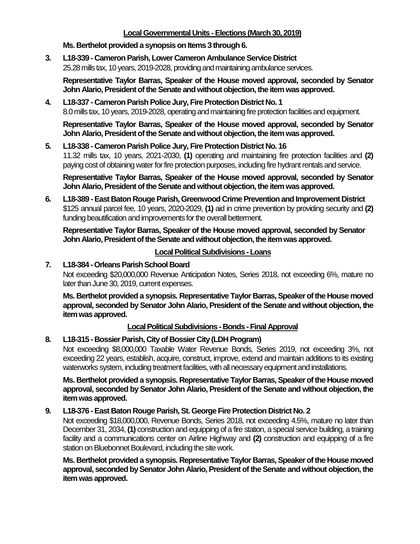## **Local Governmental Units -Elections (March 30, 2019)**

#### **Ms. Berthelot provided a synopsis on Items 3 through 6.**

**3. L18-339 - Cameron Parish, Lower Cameron Ambulance Service District** 25.28 mills tax, 10 years, 2019-2028, providing and maintaining ambulance services.

**Representative Taylor Barras, Speaker of the House moved approval, seconded by Senator John Alario, President of the Senate and without objection, the item was approved.**

### **4. L18-337 - Cameron Parish Police Jury, Fire Protection District No. 1** 8.0 mills tax, 10 years, 2019-2028, operating and maintaining fire protection facilities and equipment.

**Representative Taylor Barras, Speaker of the House moved approval, seconded by Senator John Alario, President of the Senate and without objection, the item was approved.**

#### **5. L18-338 - Cameron Parish Police Jury, Fire Protection District No. 16**

11.32 mills tax, 10 years, 2021-2030, **(1)** operating and maintaining fire protection facilities and **(2)** paying cost of obtaining water for fire protection purposes, including fire hydrant rentals and service.

**Representative Taylor Barras, Speaker of the House moved approval, seconded by Senator John Alario, President of the Senate and without objection, the item was approved.**

**6. L18-389 -East Baton Rouge Parish, Greenwood Crime Prevention and Improvement District** \$125 annual parcel fee, 10 years, 2020-2029, **(1)** aid in crime prevention by providing security and **(2)** funding beautification and improvements for the overall betterment.

**Representative Taylor Barras, Speaker of the House moved approval, seconded by Senator John Alario, President of the Senate and without objection, the item was approved.**

## **Local Political Subdivisions -Loans**

## **7. L18-384 -Orleans Parish School Board**

Not exceeding \$20,000,000 Revenue Anticipation Notes, Series 2018, not exceeding 6%, mature no later than June 30, 2019, current expenses.

**Ms. Berthelot provided a synopsis. Representative Taylor Barras, Speaker of the House moved approval, seconded by Senator John Alario, President of the Senate and without objection, the item was approved.**

## **Local Political Subdivisions - Bonds -Final Approval**

## **8. L18-315 - Bossier Parish, City of Bossier City (LDH Program)**

Not exceeding \$8,000,000 Taxable Water Revenue Bonds, Series 2019, not exceeding 3%, not exceeding 22 years, establish, acquire, construct, improve, extend and maintain additions to its existing waterworks system, including treatment facilities, with all necessary equipment and installations.

**Ms. Berthelot provided a synopsis. Representative Taylor Barras, Speaker of the House moved approval, seconded by Senator John Alario, President of the Senate and without objection, the item was approved.**

## **9. L18-376 -East Baton Rouge Parish, St. George Fire Protection District No. 2**

Not exceeding \$18,000,000, Revenue Bonds, Series 2018, not exceeding 4.5%, mature no later than December 31, 2034, **(1)** construction and equipping of a fire station, a special service building, a training facility and a communications center on Airline Highway and **(2)** construction and equipping of a fire station on Bluebonnet Boulevard, including the site work.

**Ms. Berthelot provided a synopsis. Representative Taylor Barras, Speaker of the House moved approval, seconded by Senator John Alario, President of the Senate and without objection, the item was approved.**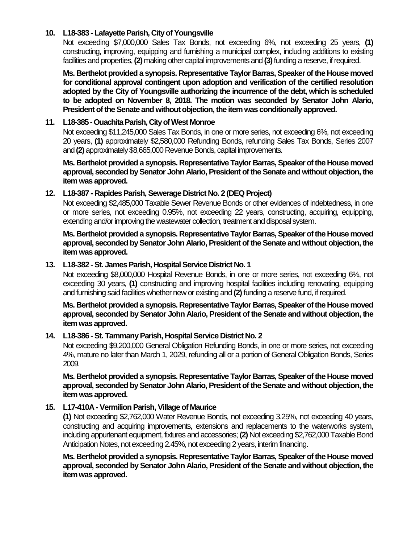#### **10. L18-383 - Lafayette Parish, City of Youngsville**

Not exceeding \$7,000,000 Sales Tax Bonds, not exceeding 6%, not exceeding 25 years, **(1)** constructing, improving, equipping and furnishing a municipal complex, including additions to existing facilities and properties, **(2)**making other capital improvements and **(3)**funding a reserve, if required.

**Ms. Berthelot provided a synopsis. Representative Taylor Barras, Speaker of the House moved for conditional approval contingent upon adoption and verification of the certified resolution adopted by the City of Youngsville authorizing the incurrence of the debt, which is scheduled to be adopted on November 8, 2018. The motion was seconded by Senator John Alario, President of the Senate and without objection, the item was conditionally approved.**

#### **11. L18-385 -Ouachita Parish, City of West Monroe**

Not exceeding \$11,245,000 Sales Tax Bonds, in one or more series, not exceeding 6%, not exceeding 20 years, **(1)** approximately \$2,580,000 Refunding Bonds, refunding Sales Tax Bonds, Series 2007 and **(2)** approximately \$8,665,000 Revenue Bonds, capital improvements.

**Ms. Berthelot provided a synopsis. Representative Taylor Barras, Speaker of the House moved approval, seconded by Senator John Alario, President of the Senate and without objection, the item was approved.**

#### **12. L18-387 - Rapides Parish, Sewerage District No. 2 (DEQ Project)**

Not exceeding \$2,485,000 Taxable Sewer Revenue Bonds or other evidences of indebtedness, in one or more series, not exceeding 0.95%, not exceeding 22 years, constructing, acquiring, equipping, extending and/or improving the wastewater collection, treatment and disposal system.

**Ms. Berthelot provided a synopsis. Representative Taylor Barras, Speaker of the House moved approval, seconded by Senator John Alario, President of the Senate and without objection, the item was approved.**

#### **13. L18-382 -St. James Parish, Hospital Service District No. 1**

Not exceeding \$8,000,000 Hospital Revenue Bonds, in one or more series, not exceeding 6%, not exceeding 30 years, **(1)** constructing and improving hospital facilities including renovating, equipping and furnishing said facilities whether new or existing and **(2)**funding a reserve fund, if required.

**Ms. Berthelot provided a synopsis. Representative Taylor Barras, Speaker of the House moved approval, seconded by Senator John Alario, President of the Senate and without objection, the item was approved.**

#### **14. L18-386 -St. Tammany Parish, Hospital Service District No. 2**

Not exceeding \$9,200,000 General Obligation Refunding Bonds, in one or more series, not exceeding 4%, mature no later than March 1, 2029, refunding all or a portion of General Obligation Bonds, Series 2009.

**Ms. Berthelot provided a synopsis. Representative Taylor Barras, Speaker of the House moved approval, seconded by Senator John Alario, President of the Senate and without objection, the item was approved.**

#### **15. L17-410A -Vermilion Parish, Village of Maurice**

**(1)** Not exceeding \$2,762,000 Water Revenue Bonds, not exceeding 3.25%, not exceeding 40 years, constructing and acquiring improvements, extensions and replacements to the waterworks system, including appurtenant equipment, fixtures and accessories; **(2)** Not exceeding \$2,762,000 Taxable Bond Anticipation Notes, not exceeding 2.45%, not exceeding 2 years, interim financing.

**Ms. Berthelot provided a synopsis. Representative Taylor Barras, Speaker of the House moved approval, seconded by Senator John Alario, President of the Senate and without objection, the item was approved.**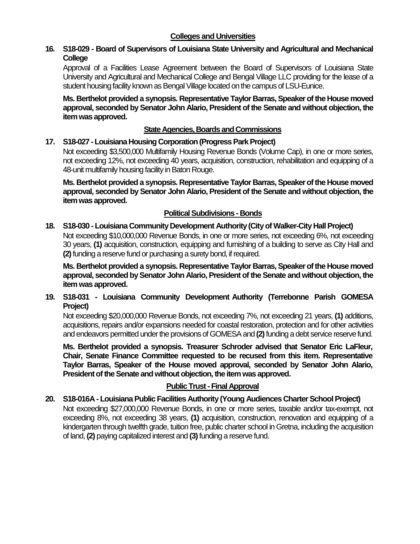#### **Colleges and Universities**

## **16. S18-029 - Board of Supervisors of Louisiana State University and Agricultural and Mechanical College**

Approval of a Facilities Lease Agreement between the Board of Supervisors of Louisiana State University and Agricultural and Mechanical College and Bengal Village LLC providing for the lease of a student housing facility known as Bengal Village located on the campus of LSU-Eunice.

**Ms. Berthelot provided a synopsis. Representative Taylor Barras, Speaker of the House moved approval, seconded by Senator John Alario, President of the Senate and without objection, the item was approved.**

#### **State Agencies, Boards and Commissions**

#### **17. S18-027 -Louisiana Housing Corporation (Progress Park Project)**

Not exceeding \$3,500,000 Multifamily Housing Revenue Bonds (Volume Cap), in one or more series, not exceeding 12%, not exceeding 40 years, acquisition, construction, rehabilitation and equipping of a 48-unit multifamily housing facility in Baton Rouge.

**Ms. Berthelot provided a synopsis. Representative Taylor Barras, Speaker of the House moved approval, seconded by Senator John Alario, President of the Senate and without objection, the item was approved.**

## **Political Subdivisions - Bonds**

#### **18. S18-030 - Louisiana Community Development Authority (City of Walker-City Hall Project)**

Not exceeding \$10,000,000 Revenue Bonds, in one or more series, not exceeding 6%, not exceeding 30 years, **(1)** acquisition, construction, equipping and furnishing of a building to serve as City Hall and **(2)** funding a reserve fund or purchasing a surety bond, if required.

**Ms. Berthelot provided a synopsis. Representative Taylor Barras, Speaker of the House moved approval, seconded by Senator John Alario, President of the Senate and without objection, the item was approved.**

**19. S18-031 - Louisiana Community Development Authority (Terrebonne Parish GOMESA Project)**

Not exceeding \$20,000,000 Revenue Bonds, not exceeding 7%, not exceeding 21 years, **(1)** additions, acquisitions, repairs and/or expansions needed for coastal restoration, protection and for other activities and endeavors permitted under the provisions of GOMESA and **(2)**funding a debt service reserve fund.

**Ms. Berthelot provided a synopsis. Treasurer Schroder advised that Senator Eric LaFleur, Chair, Senate Finance Committee requested to be recused from this item. Representative Taylor Barras, Speaker of the House moved approval, seconded by Senator John Alario, President of the Senate and without objection, the item was approved.**

## **Public Trust - Final Approval**

# **20. S18-016A - Louisiana Public Facilities Authority (Young Audiences Charter School Project)**

Not exceeding \$27,000,000 Revenue Bonds, in one or more series, taxable and/or tax-exempt, not exceeding 8%, not exceeding 38 years, **(1)** acquisition, construction, renovation and equipping of a kindergarten through twelfth grade, tuition free, public charter school in Gretna, including the acquisition of land, **(2)** paying capitalized interest and **(3)**funding a reserve fund.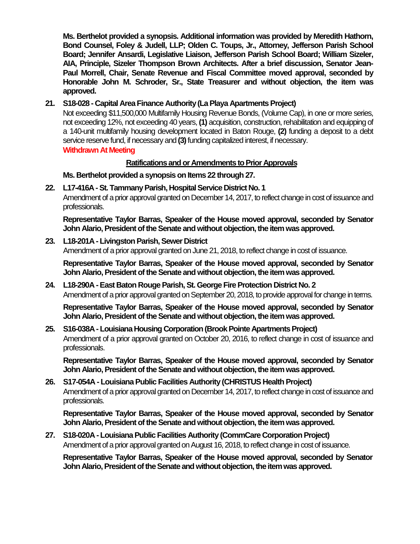**Ms. Berthelot provided a synopsis. Additional information was provided by Meredith Hathorn, Bond Counsel, Foley & Judell, LLP; Olden C. Toups, Jr., Attorney, Jefferson Parish School Board; Jennifer Ansardi, Legislative Liaison, Jefferson Parish School Board; William Sizeler, AIA, Principle, Sizeler Thompson Brown Architects. After a brief discussion, Senator Jean-Paul Morrell, Chair, Senate Revenue and Fiscal Committee moved approval, seconded by Honorable John M. Schroder, Sr., State Treasurer and without objection, the item was approved.**

### **21. S18-028 - Capital Area Finance Authority (La Playa Apartments Project)**

Not exceeding \$11,500,000 Multifamily Housing Revenue Bonds, (Volume Cap), in one or more series, not exceeding 12%, not exceeding 40 years, **(1)** acquisition, construction, rehabilitation and equipping of a 140-unit multifamily housing development located in Baton Rouge, **(2)** funding a deposit to a debt service reserve fund, if necessary and **(3)**funding capitalized interest, if necessary. **Withdrawn At Meeting**

#### **Ratifications and or Amendments to Prior Approvals**

**Ms. Berthelot provided a synopsis on Items 22 through 27.**

#### **22. L17-416A -St. Tammany Parish, Hospital Service District No. 1**

Amendment of a prior approval granted on December 14, 2017, to reflect change in cost of issuance and professionals.

**Representative Taylor Barras, Speaker of the House moved approval, seconded by Senator John Alario, President of the Senate and without objection, the item was approved.**

#### **23. L18-201A - Livingston Parish, Sewer District**

Amendment of a prior approval granted on June 21, 2018, to reflect change in cost of issuance.

**Representative Taylor Barras, Speaker of the House moved approval, seconded by Senator John Alario, President of the Senate and without objection, the item was approved.**

#### **24. L18-290A -East Baton Rouge Parish, St. George Fire Protection District No. 2** Amendment of a prior approval granted on September 20, 2018, to provide approval for change in terms.

**Representative Taylor Barras, Speaker of the House moved approval, seconded by Senator John Alario, President of the Senate and without objection, the item was approved.**

#### **25. S16-038A - Louisiana Housing Corporation (Brook Pointe Apartments Project)** Amendment of a prior approval granted on October 20, 2016, to reflect change in cost of issuance and professionals.

**Representative Taylor Barras, Speaker of the House moved approval, seconded by Senator John Alario, President of the Senate and without objection, the item was approved.**

## **26. S17-054A - Louisiana Public Facilities Authority (CHRISTUS Health Project)** Amendment of a prior approval granted on December 14, 2017, to reflect change in cost of issuance and professionals.

**Representative Taylor Barras, Speaker of the House moved approval, seconded by Senator John Alario, President of the Senate and without objection, the item was approved.**

#### **27. S18-020A - Louisiana Public Facilities Authority (CommCare Corporation Project)** Amendment of a prior approval granted on August 16, 2018, to reflect change in cost of issuance.

**Representative Taylor Barras, Speaker of the House moved approval, seconded by Senator John Alario, President of the Senate and without objection, the item was approved.**